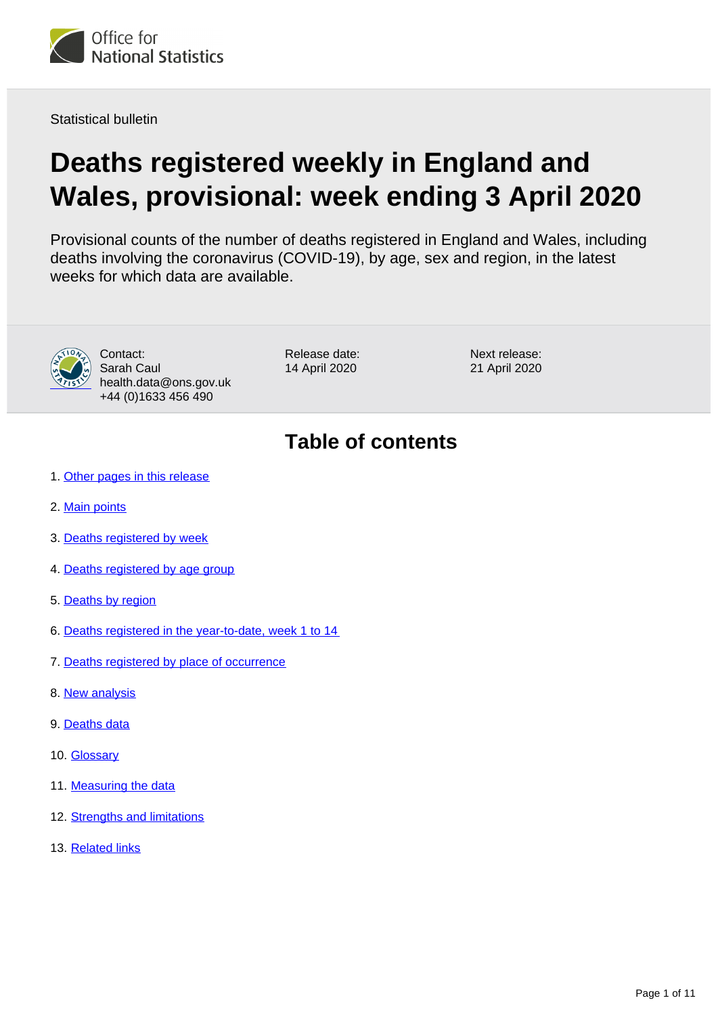

Statistical bulletin

# **Deaths registered weekly in England and Wales, provisional: week ending 3 April 2020**

Provisional counts of the number of deaths registered in England and Wales, including deaths involving the coronavirus (COVID-19), by age, sex and region, in the latest weeks for which data are available.



Contact: Sarah Caul health.data@ons.gov.uk +44 (0)1633 456 490

Release date: 14 April 2020

Next release: 21 April 2020

## **Table of contents**

- 1. [Other pages in this release](#page-1-0)
- 2. [Main points](#page-1-1)
- 3. [Deaths registered by week](#page-2-0)
- 4. [Deaths registered by age group](#page-3-0)
- 5. [Deaths by region](#page-3-1)
- 6. [Deaths registered in the year-to-date, week 1 to 14](#page-4-0)
- 7. [Deaths registered by place of occurrence](#page-5-0)
- 8. [New analysis](#page-7-0)
- 9. [Deaths data](#page-8-0)
- 10. [Glossary](#page-8-1)
- 11. [Measuring the data](#page-8-2)
- 12. [Strengths and limitations](#page-9-0)
- 13. [Related links](#page-10-0)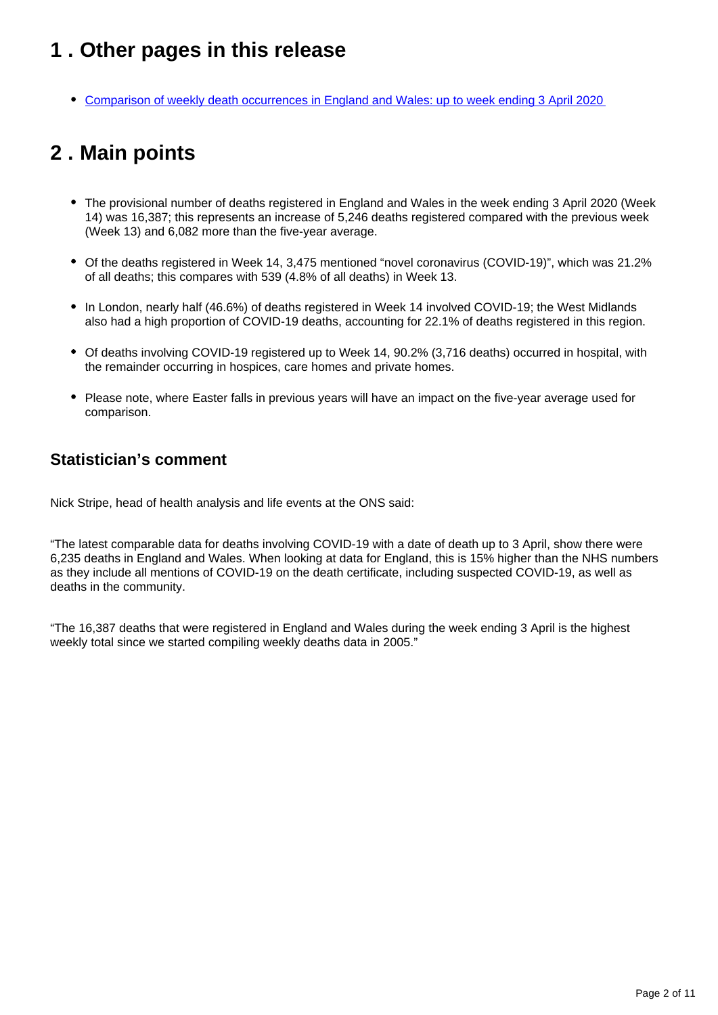## <span id="page-1-0"></span>**1 . Other pages in this release**

[Comparison of weekly death occurrences in England and Wales: up to week ending 3 April 2020](https://www.ons.gov.uk/peoplepopulationandcommunity/healthandsocialcare/causesofdeath/articles/comparisonofweeklydeathoccurrencesinenglandandwales/uptoweekending3april2020)

## <span id="page-1-1"></span>**2 . Main points**

- The provisional number of deaths registered in England and Wales in the week ending 3 April 2020 (Week 14) was 16,387; this represents an increase of 5,246 deaths registered compared with the previous week (Week 13) and 6,082 more than the five-year average.
- Of the deaths registered in Week 14, 3,475 mentioned "novel coronavirus (COVID-19)", which was 21.2% of all deaths; this compares with 539 (4.8% of all deaths) in Week 13.
- In London, nearly half (46.6%) of deaths registered in Week 14 involved COVID-19; the West Midlands also had a high proportion of COVID-19 deaths, accounting for 22.1% of deaths registered in this region.
- Of deaths involving COVID-19 registered up to Week 14, 90.2% (3,716 deaths) occurred in hospital, with the remainder occurring in hospices, care homes and private homes.
- Please note, where Easter falls in previous years will have an impact on the five-year average used for comparison.

### **Statistician's comment**

Nick Stripe, head of health analysis and life events at the ONS said:

"The latest comparable data for deaths involving COVID-19 with a date of death up to 3 April, show there were 6,235 deaths in England and Wales. When looking at data for England, this is 15% higher than the NHS numbers as they include all mentions of COVID-19 on the death certificate, including suspected COVID-19, as well as deaths in the community.

"The 16,387 deaths that were registered in England and Wales during the week ending 3 April is the highest weekly total since we started compiling weekly deaths data in 2005."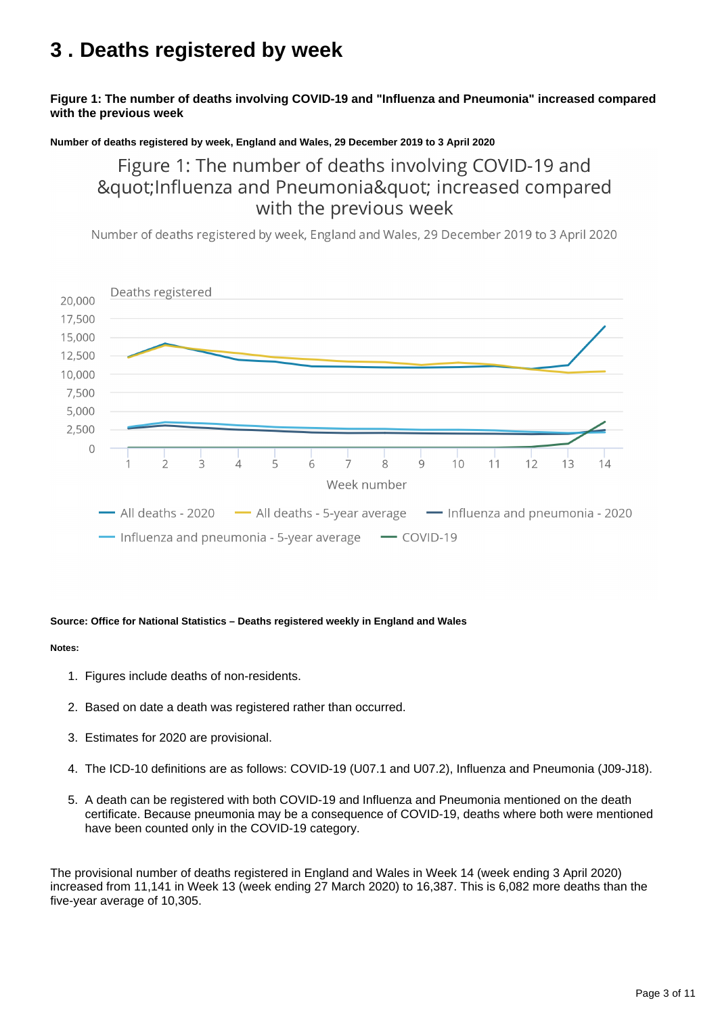## <span id="page-2-0"></span>**3 . Deaths registered by week**

### **Figure 1: The number of deaths involving COVID-19 and "Influenza and Pneumonia" increased compared with the previous week**

#### **Number of deaths registered by week, England and Wales, 29 December 2019 to 3 April 2020**

Figure 1: The number of deaths involving COVID-19 and "Influenza and Pneumonia" increased compared with the previous week

Number of deaths registered by week, England and Wales, 29 December 2019 to 3 April 2020



#### **Source: Office for National Statistics – Deaths registered weekly in England and Wales**

#### **Notes:**

- 1. Figures include deaths of non-residents.
- 2. Based on date a death was registered rather than occurred.
- 3. Estimates for 2020 are provisional.
- 4. The ICD-10 definitions are as follows: COVID-19 (U07.1 and U07.2), Influenza and Pneumonia (J09-J18).
- 5. A death can be registered with both COVID-19 and Influenza and Pneumonia mentioned on the death certificate. Because pneumonia may be a consequence of COVID-19, deaths where both were mentioned have been counted only in the COVID-19 category.

The provisional number of deaths registered in England and Wales in Week 14 (week ending 3 April 2020) increased from 11,141 in Week 13 (week ending 27 March 2020) to 16,387. This is 6,082 more deaths than the five-year average of 10,305.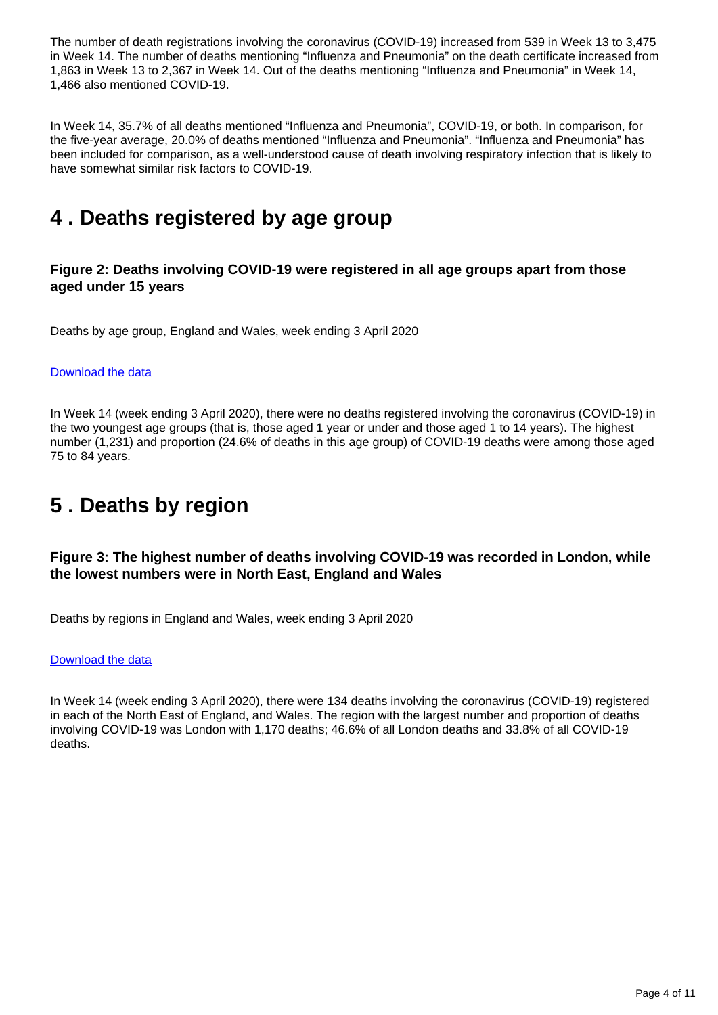The number of death registrations involving the coronavirus (COVID-19) increased from 539 in Week 13 to 3,475 in Week 14. The number of deaths mentioning "Influenza and Pneumonia" on the death certificate increased from 1,863 in Week 13 to 2,367 in Week 14. Out of the deaths mentioning "Influenza and Pneumonia" in Week 14, 1,466 also mentioned COVID-19.

In Week 14, 35.7% of all deaths mentioned "Influenza and Pneumonia", COVID-19, or both. In comparison, for the five-year average, 20.0% of deaths mentioned "Influenza and Pneumonia". "Influenza and Pneumonia" has been included for comparison, as a well-understood cause of death involving respiratory infection that is likely to have somewhat similar risk factors to COVID-19.

## <span id="page-3-0"></span>**4 . Deaths registered by age group**

### **Figure 2: Deaths involving COVID-19 were registered in all age groups apart from those aged under 15 years**

Deaths by age group, England and Wales, week ending 3 April 2020

#### [Download the data](https://www.ons.gov.uk/visualisations/dvc794/byage/datadownload.xlsx)

In Week 14 (week ending 3 April 2020), there were no deaths registered involving the coronavirus (COVID-19) in the two youngest age groups (that is, those aged 1 year or under and those aged 1 to 14 years). The highest number (1,231) and proportion (24.6% of deaths in this age group) of COVID-19 deaths were among those aged 75 to 84 years.

## <span id="page-3-1"></span>**5 . Deaths by region**

### **Figure 3: The highest number of deaths involving COVID-19 was recorded in London, while the lowest numbers were in North East, England and Wales**

Deaths by regions in England and Wales, week ending 3 April 2020

#### [Download the data](https://www.ons.gov.uk/visualisations/dvc794/byregion/datadownload.xlsx)

In Week 14 (week ending 3 April 2020), there were 134 deaths involving the coronavirus (COVID-19) registered in each of the North East of England, and Wales. The region with the largest number and proportion of deaths involving COVID-19 was London with 1,170 deaths; 46.6% of all London deaths and 33.8% of all COVID-19 deaths.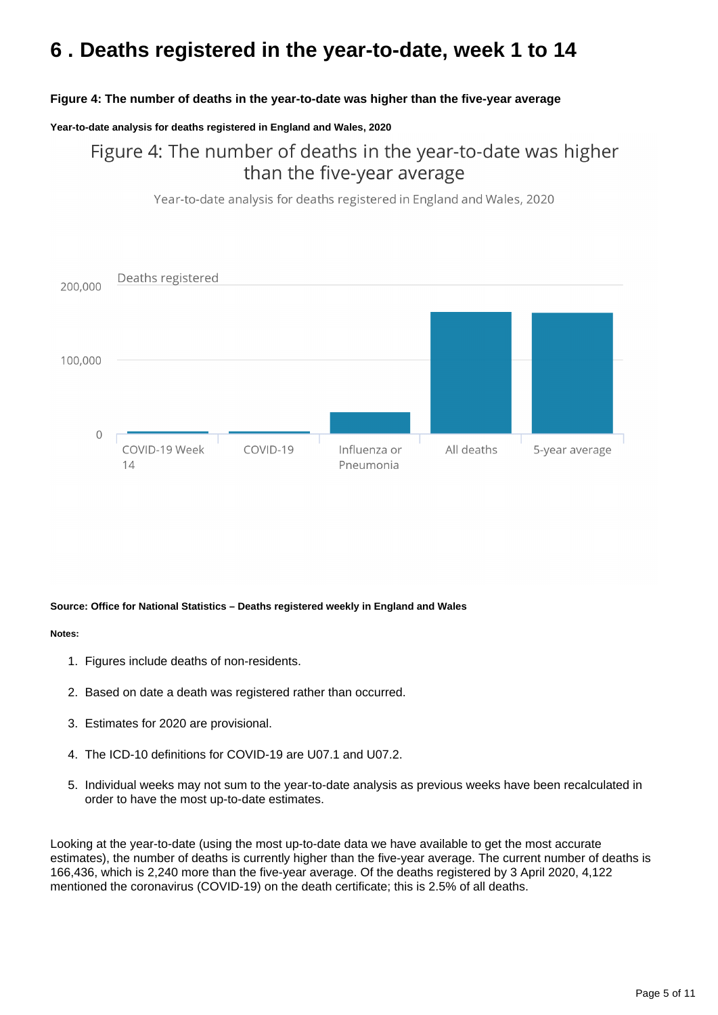## <span id="page-4-0"></span>**6 . Deaths registered in the year-to-date, week 1 to 14**

### **Figure 4: The number of deaths in the year-to-date was higher than the five-year average**

#### **Year-to-date analysis for deaths registered in England and Wales, 2020**

Figure 4: The number of deaths in the year-to-date was higher than the five-year average

Year-to-date analysis for deaths registered in England and Wales, 2020



#### **Source: Office for National Statistics – Deaths registered weekly in England and Wales**

#### **Notes:**

- 1. Figures include deaths of non-residents.
- 2. Based on date a death was registered rather than occurred.
- 3. Estimates for 2020 are provisional.
- 4. The ICD-10 definitions for COVID-19 are U07.1 and U07.2.
- 5. Individual weeks may not sum to the year-to-date analysis as previous weeks have been recalculated in order to have the most up-to-date estimates.

Looking at the year-to-date (using the most up-to-date data we have available to get the most accurate estimates), the number of deaths is currently higher than the five-year average. The current number of deaths is 166,436, which is 2,240 more than the five-year average. Of the deaths registered by 3 April 2020, 4,122 mentioned the coronavirus (COVID-19) on the death certificate; this is 2.5% of all deaths.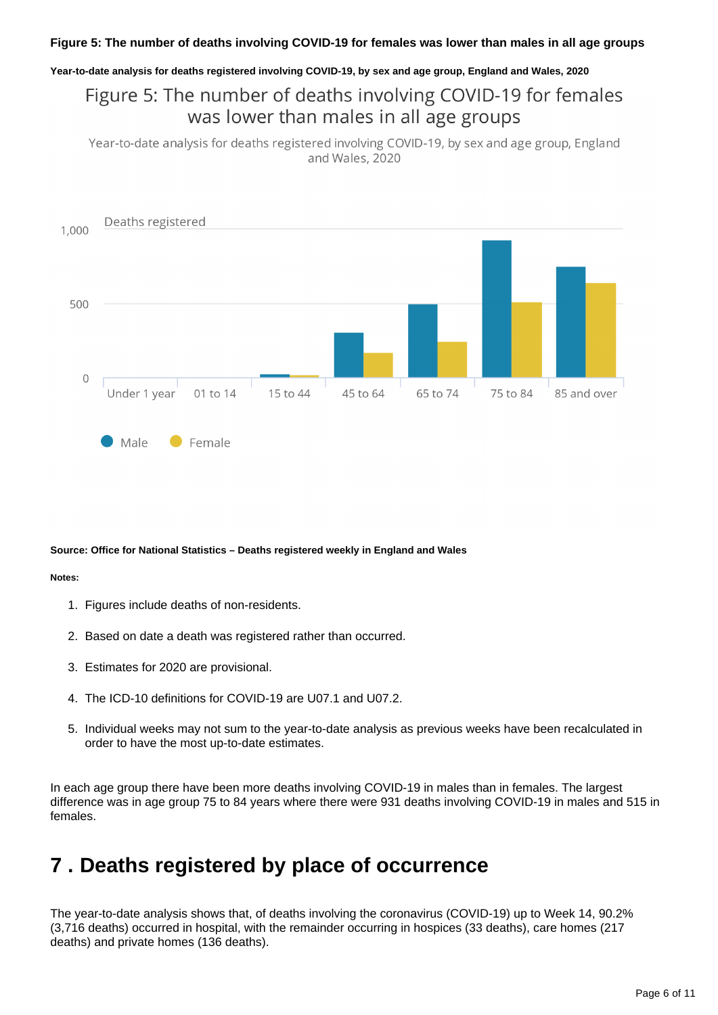#### **Year-to-date analysis for deaths registered involving COVID-19, by sex and age group, England and Wales, 2020**

Figure 5: The number of deaths involving COVID-19 for females was lower than males in all age groups

Year-to-date analysis for deaths registered involving COVID-19, by sex and age group, England and Wales, 2020



#### **Source: Office for National Statistics – Deaths registered weekly in England and Wales**

#### **Notes:**

- 1. Figures include deaths of non-residents.
- 2. Based on date a death was registered rather than occurred.
- 3. Estimates for 2020 are provisional.
- 4. The ICD-10 definitions for COVID-19 are U07.1 and U07.2.
- 5. Individual weeks may not sum to the year-to-date analysis as previous weeks have been recalculated in order to have the most up-to-date estimates.

In each age group there have been more deaths involving COVID-19 in males than in females. The largest difference was in age group 75 to 84 years where there were 931 deaths involving COVID-19 in males and 515 in females.

### <span id="page-5-0"></span>**7 . Deaths registered by place of occurrence**

The year-to-date analysis shows that, of deaths involving the coronavirus (COVID-19) up to Week 14, 90.2% (3,716 deaths) occurred in hospital, with the remainder occurring in hospices (33 deaths), care homes (217 deaths) and private homes (136 deaths).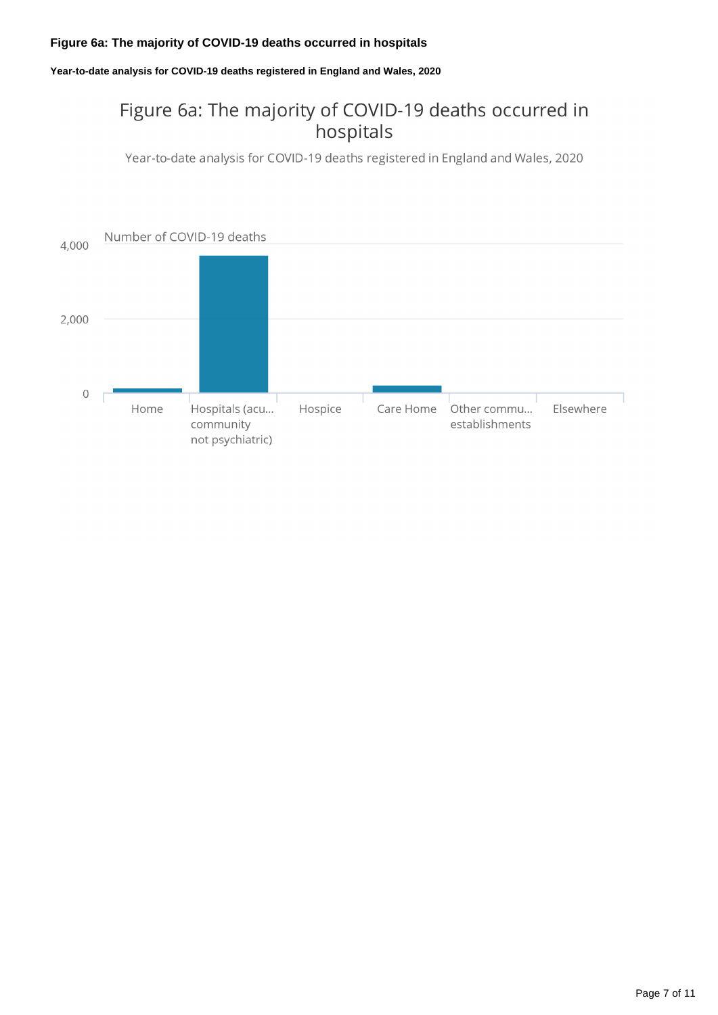### **Figure 6a: The majority of COVID-19 deaths occurred in hospitals**

**Year-to-date analysis for COVID-19 deaths registered in England and Wales, 2020**

### Figure 6a: The majority of COVID-19 deaths occurred in hospitals

Year-to-date analysis for COVID-19 deaths registered in England and Wales, 2020

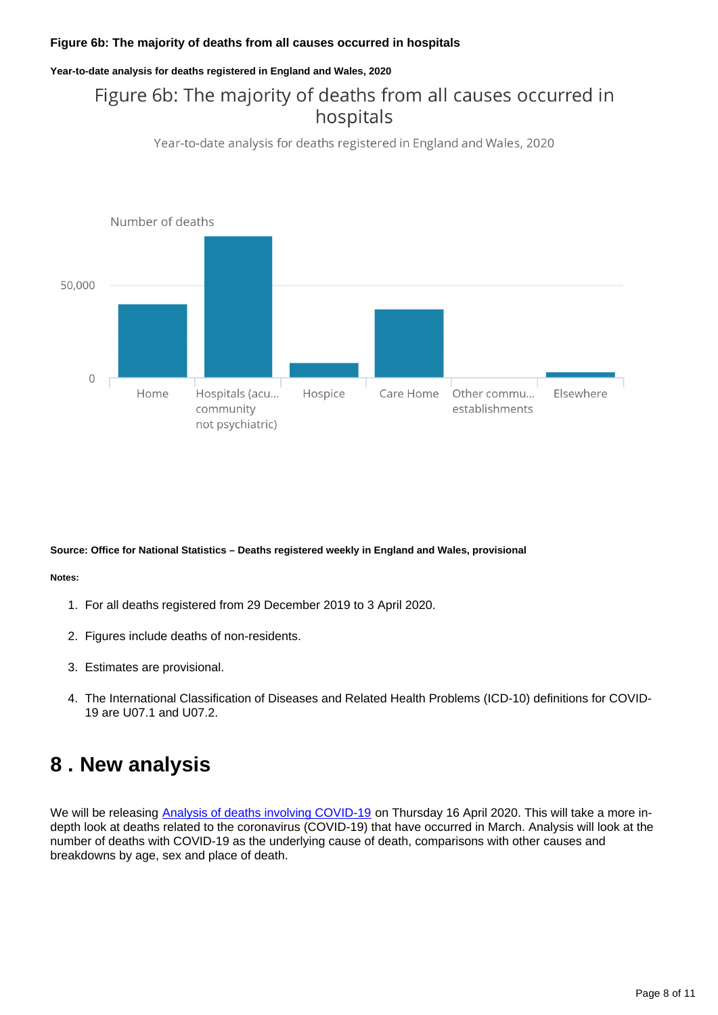### **Figure 6b: The majority of deaths from all causes occurred in hospitals**

#### **Year-to-date analysis for deaths registered in England and Wales, 2020**

### Figure 6b: The majority of deaths from all causes occurred in hospitals

Year-to-date analysis for deaths registered in England and Wales, 2020



#### **Source: Office for National Statistics – Deaths registered weekly in England and Wales, provisional**

#### **Notes:**

- 1. For all deaths registered from 29 December 2019 to 3 April 2020.
- 2. Figures include deaths of non-residents.
- 3. Estimates are provisional.
- 4. The International Classification of Diseases and Related Health Problems (ICD-10) definitions for COVID-19 are U07.1 and U07.2.

### <span id="page-7-0"></span>**8 . New analysis**

We will be releasing [Analysis of deaths involving COVID-19](https://www.ons.gov.uk/releases/analysisofdeathsinvolvingcovid19) on Thursday 16 April 2020. This will take a more indepth look at deaths related to the coronavirus (COVID-19) that have occurred in March. Analysis will look at the number of deaths with COVID-19 as the underlying cause of death, comparisons with other causes and breakdowns by age, sex and place of death.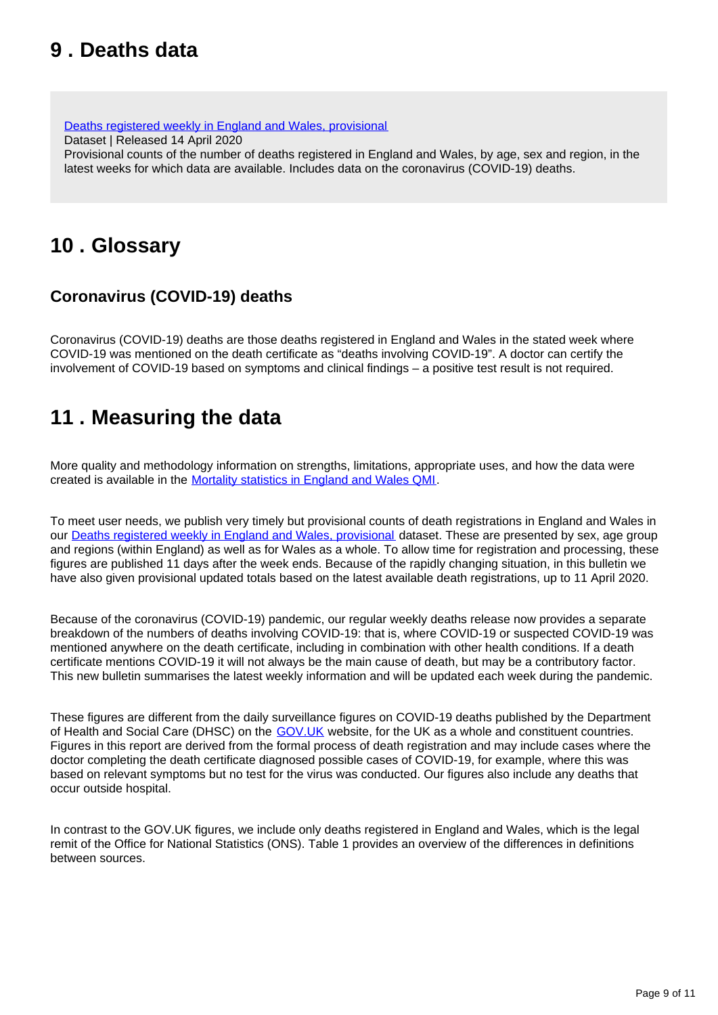## <span id="page-8-0"></span>**9 . Deaths data**

[Deaths registered weekly in England and Wales, provisional](https://www.ons.gov.uk/peoplepopulationandcommunity/birthsdeathsandmarriages/deaths/datasets/weeklyprovisionalfiguresondeathsregisteredinenglandandwales)

Dataset | Released 14 April 2020

Provisional counts of the number of deaths registered in England and Wales, by age, sex and region, in the latest weeks for which data are available. Includes data on the coronavirus (COVID-19) deaths.

## <span id="page-8-1"></span>**10 . Glossary**

### **Coronavirus (COVID-19) deaths**

Coronavirus (COVID-19) deaths are those deaths registered in England and Wales in the stated week where COVID-19 was mentioned on the death certificate as "deaths involving COVID-19". A doctor can certify the involvement of COVID-19 based on symptoms and clinical findings – a positive test result is not required.

## <span id="page-8-2"></span>**11 . Measuring the data**

More quality and methodology information on strengths, limitations, appropriate uses, and how the data were created is available in the [Mortality statistics in England and Wales QMI.](https://www.ons.gov.uk/peoplepopulationandcommunity/birthsdeathsandmarriages/deaths/methodologies/mortalitystatisticsinenglandandwalesqmi)

To meet user needs, we publish very timely but provisional counts of death registrations in England and Wales in our [Deaths registered weekly in England and Wales, provisional](https://www.ons.gov.uk/peoplepopulationandcommunity/birthsdeathsandmarriages/deaths/datasets/weeklyprovisionalfiguresondeathsregisteredinenglandandwales) dataset. These are presented by sex, age group and regions (within England) as well as for Wales as a whole. To allow time for registration and processing, these figures are published 11 days after the week ends. Because of the rapidly changing situation, in this bulletin we have also given provisional updated totals based on the latest available death registrations, up to 11 April 2020.

Because of the coronavirus (COVID-19) pandemic, our regular weekly deaths release now provides a separate breakdown of the numbers of deaths involving COVID-19: that is, where COVID-19 or suspected COVID-19 was mentioned anywhere on the death certificate, including in combination with other health conditions. If a death certificate mentions COVID-19 it will not always be the main cause of death, but may be a contributory factor. This new bulletin summarises the latest weekly information and will be updated each week during the pandemic.

These figures are different from the daily surveillance figures on COVID-19 deaths published by the Department of Health and Social Care (DHSC) on the GOV. UK website, for the UK as a whole and constituent countries. Figures in this report are derived from the formal process of death registration and may include cases where the doctor completing the death certificate diagnosed possible cases of COVID-19, for example, where this was based on relevant symptoms but no test for the virus was conducted. Our figures also include any deaths that occur outside hospital.

In contrast to the GOV.UK figures, we include only deaths registered in England and Wales, which is the legal remit of the Office for National Statistics (ONS). Table 1 provides an overview of the differences in definitions between sources.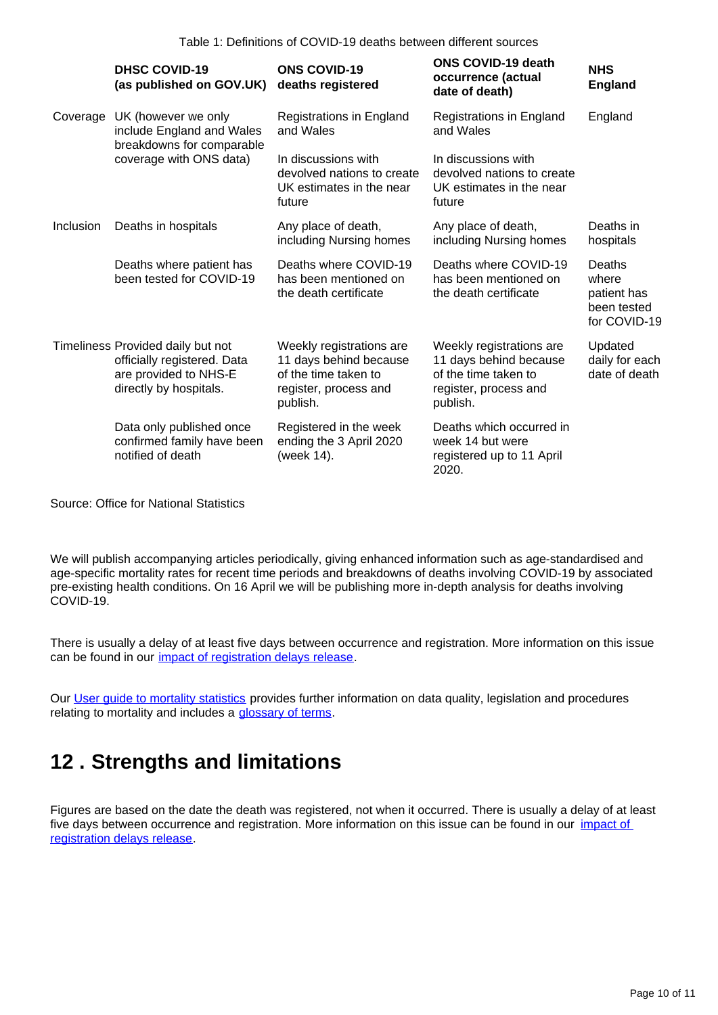|           | <b>DHSC COVID-19</b><br>(as published on GOV.UK)                                                                    | <b>ONS COVID-19</b><br>deaths registered                                                                        | <b>ONS COVID-19 death</b><br>occurrence (actual<br>date of death)                                               | <b>NHS</b><br><b>England</b>                                  |
|-----------|---------------------------------------------------------------------------------------------------------------------|-----------------------------------------------------------------------------------------------------------------|-----------------------------------------------------------------------------------------------------------------|---------------------------------------------------------------|
| Coverage  | UK (however we only<br>include England and Wales<br>breakdowns for comparable<br>coverage with ONS data)            | Registrations in England<br>and Wales                                                                           | Registrations in England<br>and Wales                                                                           | England                                                       |
|           |                                                                                                                     | In discussions with<br>devolved nations to create<br>UK estimates in the near<br>future                         | In discussions with<br>devolved nations to create<br>UK estimates in the near<br>future                         |                                                               |
| Inclusion | Deaths in hospitals                                                                                                 | Any place of death,<br>including Nursing homes                                                                  | Any place of death,<br>including Nursing homes                                                                  | Deaths in<br>hospitals                                        |
|           | Deaths where patient has<br>been tested for COVID-19                                                                | Deaths where COVID-19<br>has been mentioned on<br>the death certificate                                         | Deaths where COVID-19<br>has been mentioned on<br>the death certificate                                         | Deaths<br>where<br>patient has<br>been tested<br>for COVID-19 |
|           | Timeliness Provided daily but not<br>officially registered. Data<br>are provided to NHS-E<br>directly by hospitals. | Weekly registrations are<br>11 days behind because<br>of the time taken to<br>register, process and<br>publish. | Weekly registrations are<br>11 days behind because<br>of the time taken to<br>register, process and<br>publish. | Updated<br>daily for each<br>date of death                    |
|           | Data only published once<br>confirmed family have been<br>notified of death                                         | Registered in the week<br>ending the 3 April 2020<br>(week 14).                                                 | Deaths which occurred in<br>week 14 but were<br>registered up to 11 April<br>2020.                              |                                                               |

Source: Office for National Statistics

We will publish accompanying articles periodically, giving enhanced information such as age-standardised and age-specific mortality rates for recent time periods and breakdowns of deaths involving COVID-19 by associated pre-existing health conditions. On 16 April we will be publishing more in-depth analysis for deaths involving COVID-19.

There is usually a delay of at least five days between occurrence and registration. More information on this issue can be found in our *impact of registration delays release*.

Our [User guide to mortality statistics](https://www.ons.gov.uk/peoplepopulationandcommunity/birthsdeathsandmarriages/deaths/methodologies/userguidetomortalitystatistics) provides further information on data quality, legislation and procedures relating to mortality and includes a [glossary of terms](https://www.ons.gov.uk/peoplepopulationandcommunity/birthsdeathsandmarriages/deaths/methodologies/userguidetomortalitystatisticsjuly2017#glossary).

## <span id="page-9-0"></span>**12 . Strengths and limitations**

Figures are based on the date the death was registered, not when it occurred. There is usually a delay of at least five days between occurrence and registration. More information on this issue can be found in our *impact* of [registration delays release.](https://www.ons.gov.uk/peoplepopulationandcommunity/birthsdeathsandmarriages/deaths/articles/impactofregistrationdelaysonmortalitystatisticsinenglandandwales/2018)